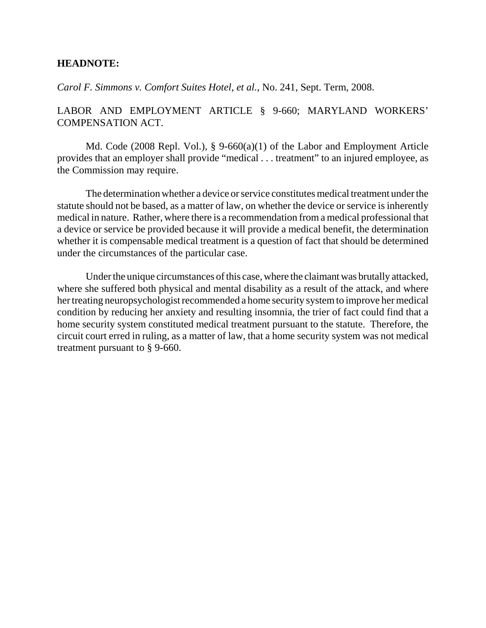## **HEADNOTE:**

*Carol F. Simmons v. Comfort Suites Hotel, et al.*, No. 241, Sept. Term, 2008.

# LABOR AND EMPLOYMENT ARTICLE § 9-660; MARYLAND WORKERS' COMPENSATION ACT.

Md. Code (2008 Repl. Vol.), § 9-660(a)(1) of the Labor and Employment Article provides that an employer shall provide "medical . . . treatment" to an injured employee, as the Commission may require.

The determination whether a device or service constitutes medical treatment under the statute should not be based, as a matter of law, on whether the device or service is inherently medical in nature. Rather, where there is a recommendation from a medical professional that a device or service be provided because it will provide a medical benefit, the determination whether it is compensable medical treatment is a question of fact that should be determined under the circumstances of the particular case.

Under the unique circumstances of this case, where the claimant was brutally attacked, where she suffered both physical and mental disability as a result of the attack, and where her treating neuropsychologist recommended a home security system to improve her medical condition by reducing her anxiety and resulting insomnia, the trier of fact could find that a home security system constituted medical treatment pursuant to the statute. Therefore, the circuit court erred in ruling, as a matter of law, that a home security system was not medical treatment pursuant to § 9-660.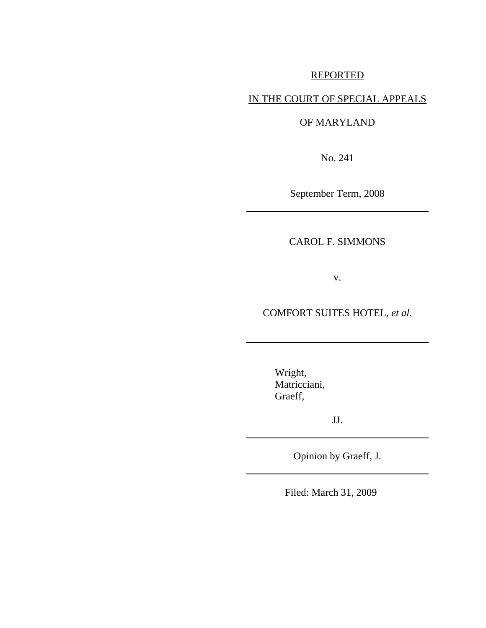# REPORTED

# IN THE COURT OF SPECIAL APPEALS

# OF MARYLAND

No. 241

September Term, 2008

CAROL F. SIMMONS

v.

COMFORT SUITES HOTEL, *et al.*

Wright, Matricciani, Graeff,

JJ.

Opinion by Graeff, J.

Filed: March 31, 2009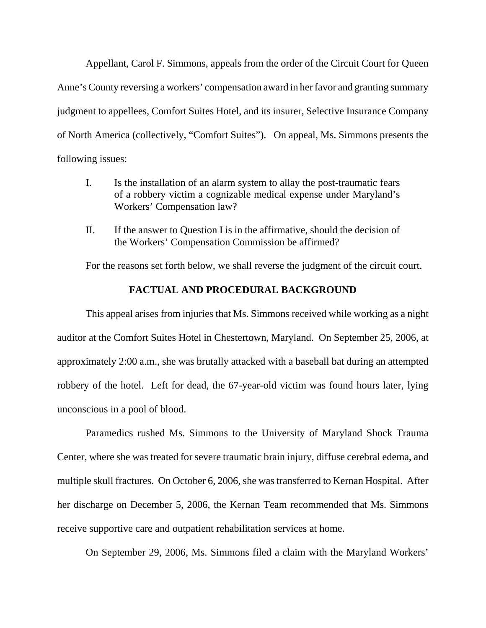Appellant, Carol F. Simmons, appeals from the order of the Circuit Court for Queen Anne's County reversing a workers' compensation award in her favor and granting summary judgment to appellees, Comfort Suites Hotel, and its insurer, Selective Insurance Company of North America (collectively, "Comfort Suites"). On appeal, Ms. Simmons presents the following issues:

- I. Is the installation of an alarm system to allay the post-traumatic fears of a robbery victim a cognizable medical expense under Maryland's Workers' Compensation law?
- II. If the answer to Question I is in the affirmative, should the decision of the Workers' Compensation Commission be affirmed?

For the reasons set forth below, we shall reverse the judgment of the circuit court.

### **FACTUAL AND PROCEDURAL BACKGROUND**

This appeal arises from injuries that Ms. Simmons received while working as a night auditor at the Comfort Suites Hotel in Chestertown, Maryland. On September 25, 2006, at approximately 2:00 a.m., she was brutally attacked with a baseball bat during an attempted robbery of the hotel. Left for dead, the 67-year-old victim was found hours later, lying unconscious in a pool of blood.

Paramedics rushed Ms. Simmons to the University of Maryland Shock Trauma Center, where she was treated for severe traumatic brain injury, diffuse cerebral edema, and multiple skull fractures. On October 6, 2006, she was transferred to Kernan Hospital. After her discharge on December 5, 2006, the Kernan Team recommended that Ms. Simmons receive supportive care and outpatient rehabilitation services at home.

On September 29, 2006, Ms. Simmons filed a claim with the Maryland Workers'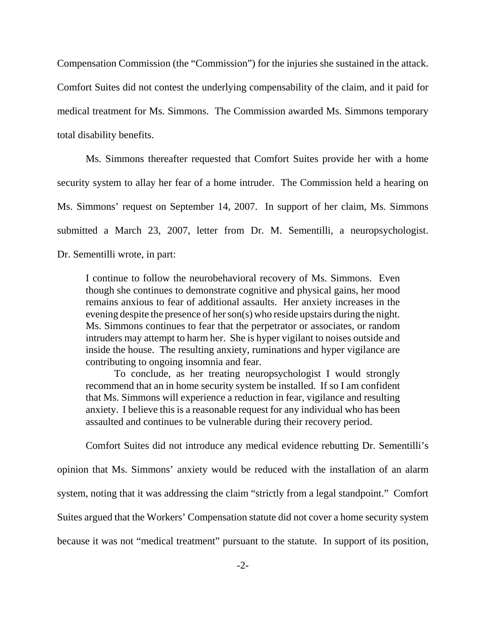Compensation Commission (the "Commission") for the injuries she sustained in the attack. Comfort Suites did not contest the underlying compensability of the claim, and it paid for medical treatment for Ms. Simmons. The Commission awarded Ms. Simmons temporary total disability benefits.

Ms. Simmons thereafter requested that Comfort Suites provide her with a home security system to allay her fear of a home intruder. The Commission held a hearing on Ms. Simmons' request on September 14, 2007. In support of her claim, Ms. Simmons submitted a March 23, 2007, letter from Dr. M. Sementilli, a neuropsychologist. Dr. Sementilli wrote, in part:

I continue to follow the neurobehavioral recovery of Ms. Simmons. Even though she continues to demonstrate cognitive and physical gains, her mood remains anxious to fear of additional assaults. Her anxiety increases in the evening despite the presence of her son(s) who reside upstairs during the night. Ms. Simmons continues to fear that the perpetrator or associates, or random intruders may attempt to harm her. She is hyper vigilant to noises outside and inside the house. The resulting anxiety, ruminations and hyper vigilance are contributing to ongoing insomnia and fear.

To conclude, as her treating neuropsychologist I would strongly recommend that an in home security system be installed. If so I am confident that Ms. Simmons will experience a reduction in fear, vigilance and resulting anxiety.I believe this is a reasonable request for any individual who has been assaulted and continues to be vulnerable during their recovery period.

Comfort Suites did not introduce any medical evidence rebutting Dr. Sementilli's

opinion that Ms. Simmons' anxiety would be reduced with the installation of an alarm system, noting that it was addressing the claim "strictly from a legal standpoint." Comfort Suites argued that the Workers' Compensation statute did not cover a home security system because it was not "medical treatment" pursuant to the statute. In support of its position,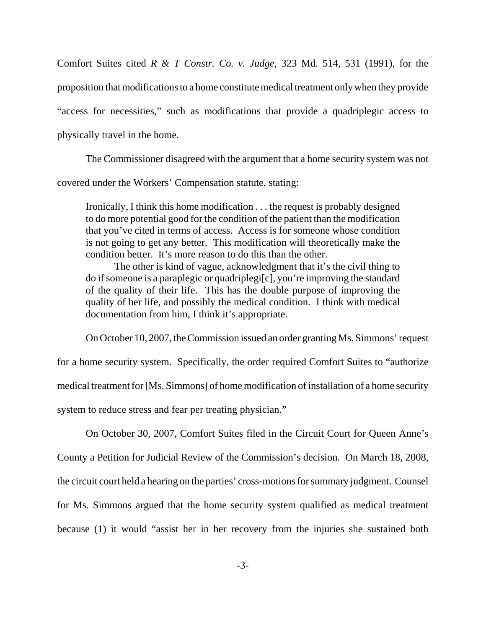Comfort Suites cited *R & T Constr. Co. v. Judge*, 323 Md. 514, 531 (1991), for the proposition that modifications to a home constitute medical treatment only when they provide "access for necessities," such as modifications that provide a quadriplegic access to physically travel in the home.

The Commissioner disagreed with the argument that a home security system was not covered under the Workers' Compensation statute, stating:

Ironically, I think this home modification . . . the request is probably designed to do more potential good for the condition of the patient than the modification that you've cited in terms of access. Access is for someone whose condition is not going to get any better. This modification will theoretically make the condition better. It's more reason to do this than the other.

The other is kind of vague, acknowledgment that it's the civil thing to do if someone is a paraplegic or quadriplegi[c], you're improving the standard of the quality of their life. This has the double purpose of improving the quality of her life, and possibly the medical condition. I think with medical documentation from him, I think it's appropriate.

On October 10, 2007, the Commission issued an order granting Ms. Simmons' request for a home security system. Specifically, the order required Comfort Suites to "authorize medical treatment for [Ms. Simmons] of home modification of installation of a home security system to reduce stress and fear per treating physician."

On October 30, 2007, Comfort Suites filed in the Circuit Court for Queen Anne's

County a Petition for Judicial Review of the Commission's decision. On March 18, 2008, the circuit court held a hearing on the parties' cross-motions for summary judgment. Counsel for Ms. Simmons argued that the home security system qualified as medical treatment because (1) it would "assist her in her recovery from the injuries she sustained both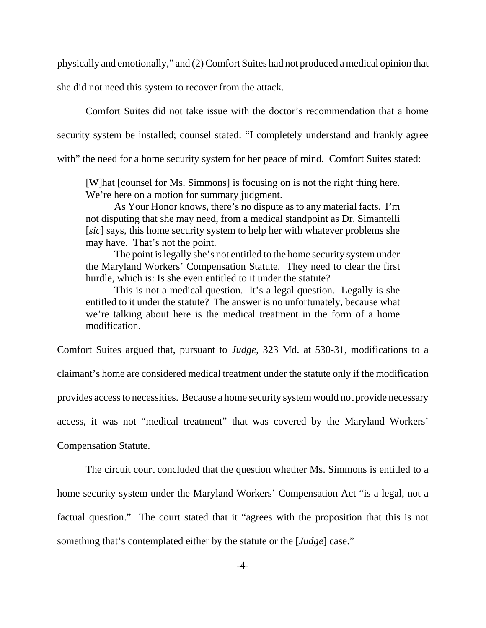physically and emotionally," and (2) Comfort Suites had not produced a medical opinion that

she did not need this system to recover from the attack.

Comfort Suites did not take issue with the doctor's recommendation that a home security system be installed; counsel stated: "I completely understand and frankly agree with" the need for a home security system for her peace of mind. Comfort Suites stated:

[W]hat [counsel for Ms. Simmons] is focusing on is not the right thing here. We're here on a motion for summary judgment.

As Your Honor knows, there's no dispute as to any material facts. I'm not disputing that she may need, from a medical standpoint as Dr. Simantelli [*sic*] says, this home security system to help her with whatever problems she may have. That's not the point.

The point is legally she's not entitled to the home security system under the Maryland Workers' Compensation Statute. They need to clear the first hurdle, which is: Is she even entitled to it under the statute?

This is not a medical question. It's a legal question. Legally is she entitled to it under the statute? The answer is no unfortunately, because what we're talking about here is the medical treatment in the form of a home modification.

Comfort Suites argued that, pursuant to *Judge*, 323 Md. at 530-31, modifications to a

claimant's home are considered medical treatment under the statute only if the modification

provides access to necessities. Because a home security system would not provide necessary

access, it was not "medical treatment" that was covered by the Maryland Workers'

Compensation Statute.

The circuit court concluded that the question whether Ms. Simmons is entitled to a home security system under the Maryland Workers' Compensation Act "is a legal, not a factual question." The court stated that it "agrees with the proposition that this is not something that's contemplated either by the statute or the [*Judge*] case."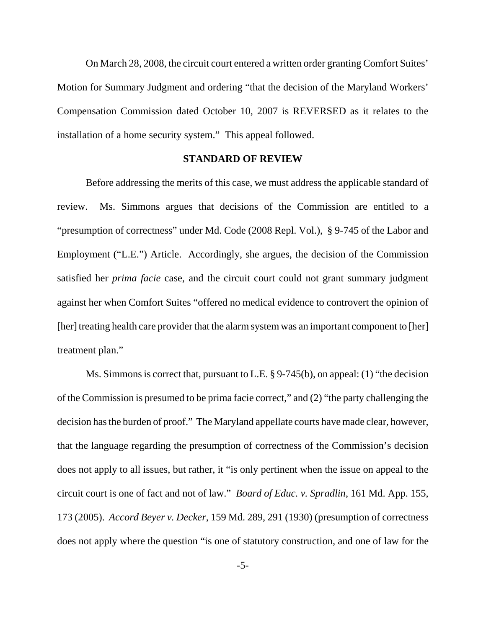On March 28, 2008, the circuit court entered a written order granting Comfort Suites' Motion for Summary Judgment and ordering "that the decision of the Maryland Workers' Compensation Commission dated October 10, 2007 is REVERSED as it relates to the installation of a home security system." This appeal followed.

#### **STANDARD OF REVIEW**

Before addressing the merits of this case, we must address the applicable standard of review. Ms. Simmons argues that decisions of the Commission are entitled to a "presumption of correctness" under Md. Code (2008 Repl. Vol.), § 9-745 of the Labor and Employment ("L.E.") Article. Accordingly, she argues, the decision of the Commission satisfied her *prima facie* case, and the circuit court could not grant summary judgment against her when Comfort Suites "offered no medical evidence to controvert the opinion of [her] treating health care provider that the alarm system was an important component to [her] treatment plan."

Ms. Simmons is correct that, pursuant to L.E. § 9-745(b), on appeal: (1) "the decision of the Commission is presumed to be prima facie correct," and (2) "the party challenging the decision has the burden of proof." The Maryland appellate courts have made clear, however, that the language regarding the presumption of correctness of the Commission's decision does not apply to all issues, but rather, it "is only pertinent when the issue on appeal to the circuit court is one of fact and not of law." *Board of Educ. v. Spradlin*, 161 Md. App. 155, 173 (2005). *Accord Beyer v. Decker*, 159 Md. 289, 291 (1930) (presumption of correctness does not apply where the question "is one of statutory construction, and one of law for the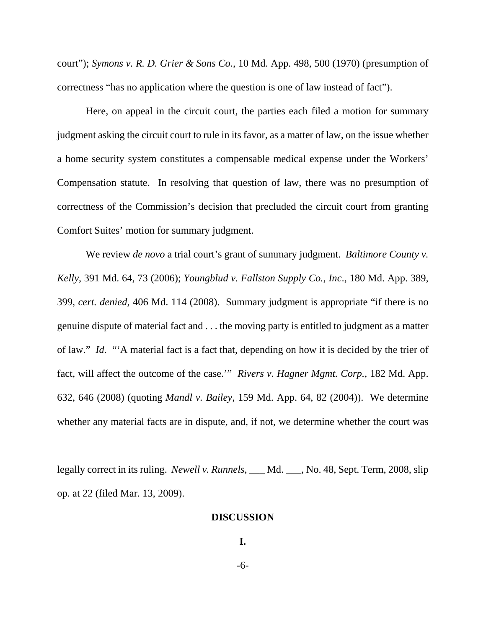court"); *Symons v. R. D. Grier & Sons Co.*, 10 Md. App. 498, 500 (1970) (presumption of correctness "has no application where the question is one of law instead of fact").

Here, on appeal in the circuit court, the parties each filed a motion for summary judgment asking the circuit court to rule in its favor, as a matter of law, on the issue whether a home security system constitutes a compensable medical expense under the Workers' Compensation statute. In resolving that question of law, there was no presumption of correctness of the Commission's decision that precluded the circuit court from granting Comfort Suites' motion for summary judgment.

We review *de novo* a trial court's grant of summary judgment. *Baltimore County v. Kelly*, 391 Md. 64, 73 (2006); *Youngblud v. Fallston Supply Co.*, *Inc*., 180 Md. App. 389, 399, *cert. denied*, 406 Md. 114 (2008). Summary judgment is appropriate "if there is no genuine dispute of material fact and . . . the moving party is entitled to judgment as a matter of law." *Id*. "'A material fact is a fact that, depending on how it is decided by the trier of fact, will affect the outcome of the case.'" *Rivers v. Hagner Mgmt. Corp.,* 182 Md. App. 632, 646 (2008) (quoting *Mandl v. Bailey*, 159 Md. App. 64, 82 (2004)). We determine whether any material facts are in dispute, and, if not, we determine whether the court was

legally correct in its ruling. *Newell v. Runnels*, \_\_\_ Md. \_\_\_, No. 48, Sept. Term, 2008, slip op. at 22 (filed Mar. 13, 2009).

#### **DISCUSSION**

**I.**

-6-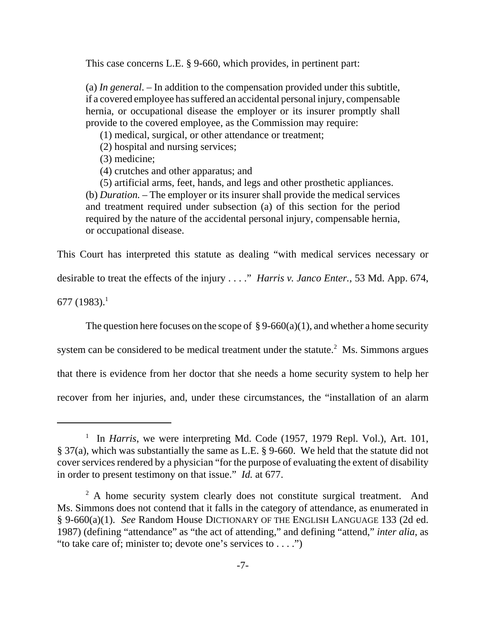This case concerns L.E. § 9-660, which provides, in pertinent part:

(a) *In general*. – In addition to the compensation provided under this subtitle, if a covered employee has suffered an accidental personal injury, compensable hernia, or occupational disease the employer or its insurer promptly shall provide to the covered employee, as the Commission may require:

(1) medical, surgical, or other attendance or treatment;

(2) hospital and nursing services;

(3) medicine;

(4) crutches and other apparatus; and

(5) artificial arms, feet, hands, and legs and other prosthetic appliances. (b) *Duration.* – The employer or its insurer shall provide the medical services and treatment required under subsection (a) of this section for the period required by the nature of the accidental personal injury, compensable hernia, or occupational disease.

This Court has interpreted this statute as dealing "with medical services necessary or

desirable to treat the effects of the injury . . . ." *Harris v. Janco Enter.*, 53 Md. App. 674,

677 (1983).<sup>1</sup>

The question here focuses on the scope of  $\S 9-660(a)(1)$ , and whether a home security

system can be considered to be medical treatment under the statute. $2$  Ms. Simmons argues

that there is evidence from her doctor that she needs a home security system to help her

recover from her injuries, and, under these circumstances, the "installation of an alarm

<sup>&</sup>lt;sup>1</sup> In *Harris*, we were interpreting Md. Code (1957, 1979 Repl. Vol.), Art. 101, § 37(a), which was substantially the same as L.E. § 9-660. We held that the statute did not cover services rendered by a physician "for the purpose of evaluating the extent of disability in order to present testimony on that issue." *Id.* at 677.

 $2^2$  A home security system clearly does not constitute surgical treatment. And Ms. Simmons does not contend that it falls in the category of attendance, as enumerated in § 9-660(a)(1). *See* Random House DICTIONARY OF THE ENGLISH LANGUAGE 133 (2d ed. 1987) (defining "attendance" as "the act of attending," and defining "attend," *inter alia*, as "to take care of; minister to; devote one's services to . . . .")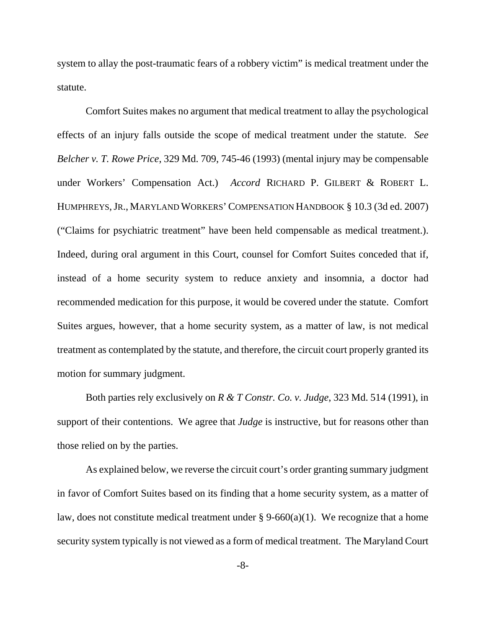system to allay the post-traumatic fears of a robbery victim" is medical treatment under the statute.

Comfort Suites makes no argument that medical treatment to allay the psychological effects of an injury falls outside the scope of medical treatment under the statute. *See Belcher v. T. Rowe Price*, 329 Md. 709, 745-46 (1993) (mental injury may be compensable under Workers' Compensation Act.) *Accord* RICHARD P. GILBERT & ROBERT L. HUMPHREYS,JR., MARYLAND WORKERS'COMPENSATION HANDBOOK § 10.3 (3d ed. 2007) ("Claims for psychiatric treatment" have been held compensable as medical treatment.). Indeed, during oral argument in this Court, counsel for Comfort Suites conceded that if, instead of a home security system to reduce anxiety and insomnia, a doctor had recommended medication for this purpose, it would be covered under the statute. Comfort Suites argues, however, that a home security system, as a matter of law, is not medical treatment as contemplated by the statute, and therefore, the circuit court properly granted its motion for summary judgment.

Both parties rely exclusively on *R & T Constr. Co. v. Judge*, 323 Md. 514 (1991), in support of their contentions. We agree that *Judge* is instructive, but for reasons other than those relied on by the parties.

As explained below, we reverse the circuit court's order granting summary judgment in favor of Comfort Suites based on its finding that a home security system, as a matter of law, does not constitute medical treatment under  $\S 9-660(a)(1)$ . We recognize that a home security system typically is not viewed as a form of medical treatment. The Maryland Court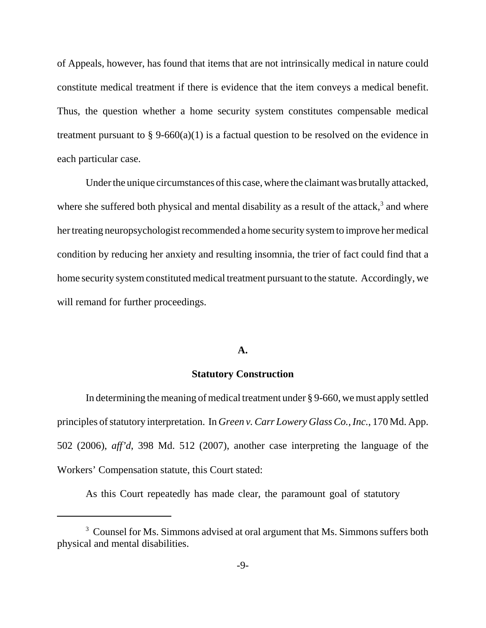of Appeals, however, has found that items that are not intrinsically medical in nature could constitute medical treatment if there is evidence that the item conveys a medical benefit. Thus, the question whether a home security system constitutes compensable medical treatment pursuant to § 9-660(a)(1) is a factual question to be resolved on the evidence in each particular case.

Under the unique circumstances of this case, where the claimant was brutally attacked, where she suffered both physical and mental disability as a result of the attack, $3$  and where her treating neuropsychologist recommended a home security system to improve her medical condition by reducing her anxiety and resulting insomnia, the trier of fact could find that a home security system constituted medical treatment pursuant to the statute. Accordingly, we will remand for further proceedings.

### **A.**

### **Statutory Construction**

In determining the meaning of medical treatment under § 9-660, we must apply settled principles of statutory interpretation. In *Green v. Carr Lowery Glass Co., Inc.*, 170 Md. App. 502 (2006), *aff'd*, 398 Md. 512 (2007), another case interpreting the language of the Workers' Compensation statute, this Court stated:

As this Court repeatedly has made clear, the paramount goal of statutory

<sup>&</sup>lt;sup>3</sup> Counsel for Ms. Simmons advised at oral argument that Ms. Simmons suffers both physical and mental disabilities.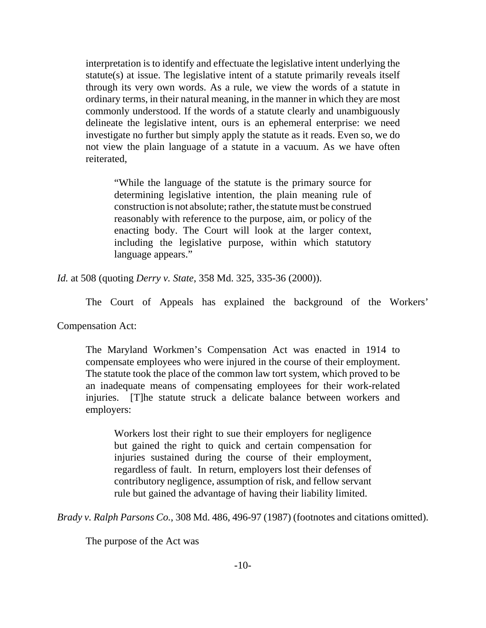interpretation is to identify and effectuate the legislative intent underlying the statute(s) at issue. The legislative intent of a statute primarily reveals itself through its very own words. As a rule, we view the words of a statute in ordinary terms, in their natural meaning, in the manner in which they are most commonly understood. If the words of a statute clearly and unambiguously delineate the legislative intent, ours is an ephemeral enterprise: we need investigate no further but simply apply the statute as it reads. Even so, we do not view the plain language of a statute in a vacuum. As we have often reiterated,

"While the language of the statute is the primary source for determining legislative intention, the plain meaning rule of construction is not absolute; rather, the statute must be construed reasonably with reference to the purpose, aim, or policy of the enacting body. The Court will look at the larger context, including the legislative purpose, within which statutory language appears."

*Id.* at 508 (quoting *Derry v. State*, 358 Md. 325, 335-36 (2000)).

The Court of Appeals has explained the background of the Workers'

Compensation Act:

The Maryland Workmen's Compensation Act was enacted in 1914 to compensate employees who were injured in the course of their employment. The statute took the place of the common law tort system, which proved to be an inadequate means of compensating employees for their work-related injuries. [T]he statute struck a delicate balance between workers and employers:

Workers lost their right to sue their employers for negligence but gained the right to quick and certain compensation for injuries sustained during the course of their employment, regardless of fault. In return, employers lost their defenses of contributory negligence, assumption of risk, and fellow servant rule but gained the advantage of having their liability limited.

*Brady v. Ralph Parsons Co.*, 308 Md. 486, 496-97 (1987) (footnotes and citations omitted).

The purpose of the Act was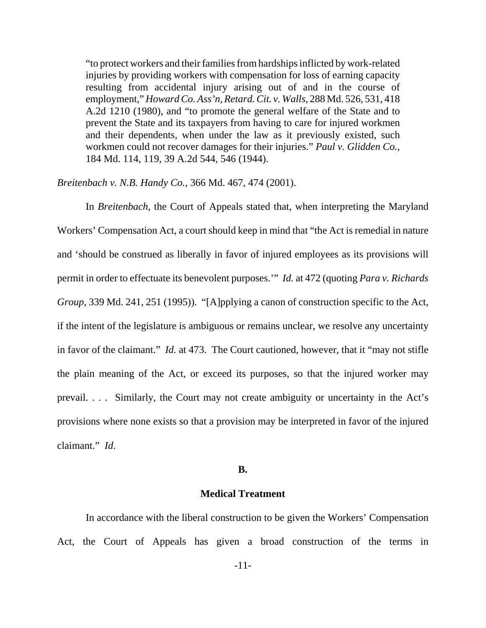"to protect workers and their families from hardships inflicted by work-related injuries by providing workers with compensation for loss of earning capacity resulting from accidental injury arising out of and in the course of employment," *Howard Co. Ass'n, Retard. Cit. v. Walls*, 288 Md. 526, 531, 418 A.2d 1210 (1980), and "to promote the general welfare of the State and to prevent the State and its taxpayers from having to care for injured workmen and their dependents, when under the law as it previously existed, such workmen could not recover damages for their injuries." *Paul v. Glidden Co.*, 184 Md. 114, 119, 39 A.2d 544, 546 (1944).

*Breitenbach v. N.B. Handy Co.*, 366 Md. 467, 474 (2001).

In *Breitenbach*, the Court of Appeals stated that, when interpreting the Maryland Workers' Compensation Act, a court should keep in mind that "the Act is remedial in nature and 'should be construed as liberally in favor of injured employees as its provisions will permit in order to effectuate its benevolent purposes.'" *Id.* at 472 (quoting *Para v. Richards Group*, 339 Md. 241, 251 (1995)). "[A]pplying a canon of construction specific to the Act, if the intent of the legislature is ambiguous or remains unclear, we resolve any uncertainty in favor of the claimant." *Id.* at 473. The Court cautioned, however, that it "may not stifle the plain meaning of the Act, or exceed its purposes, so that the injured worker may prevail. . . . Similarly, the Court may not create ambiguity or uncertainty in the Act's provisions where none exists so that a provision may be interpreted in favor of the injured claimant." *Id*.

#### **B.**

# **Medical Treatment**

In accordance with the liberal construction to be given the Workers' Compensation Act, the Court of Appeals has given a broad construction of the terms in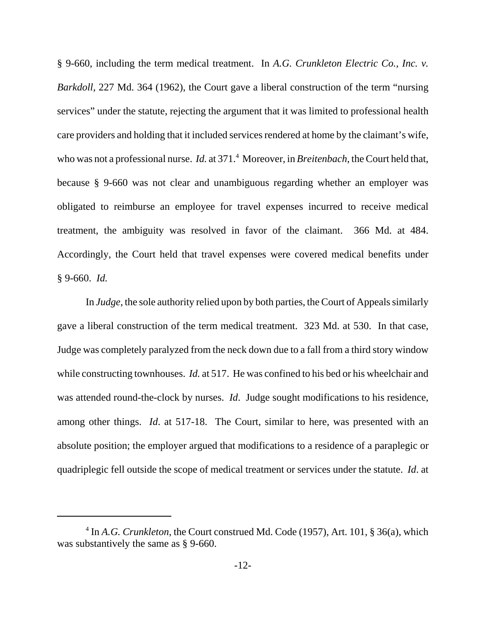§ 9-660, including the term medical treatment. In *A.G. Crunkleton Electric Co., Inc. v. Barkdoll*, 227 Md. 364 (1962), the Court gave a liberal construction of the term "nursing services" under the statute, rejecting the argument that it was limited to professional health care providers and holding that it included services rendered at home by the claimant's wife, who was not a professional nurse. *Id.* at 371.<sup>4</sup> Moreover, in *Breitenbach*, the Court held that, because § 9-660 was not clear and unambiguous regarding whether an employer was obligated to reimburse an employee for travel expenses incurred to receive medical treatment, the ambiguity was resolved in favor of the claimant. 366 Md. at 484. Accordingly, the Court held that travel expenses were covered medical benefits under § 9-660. *Id.*

In *Judge*, the sole authority relied upon by both parties, the Court of Appeals similarly gave a liberal construction of the term medical treatment. 323 Md. at 530. In that case, Judge was completely paralyzed from the neck down due to a fall from a third story window while constructing townhouses. *Id.* at 517. He was confined to his bed or his wheelchair and was attended round-the-clock by nurses. *Id*. Judge sought modifications to his residence, among other things. *Id*. at 517-18. The Court, similar to here, was presented with an absolute position; the employer argued that modifications to a residence of a paraplegic or quadriplegic fell outside the scope of medical treatment or services under the statute. *Id*. at

<sup>&</sup>lt;sup>4</sup> In *A.G. Crunkleton*, the Court construed Md. Code (1957), Art. 101, § 36(a), which was substantively the same as § 9-660.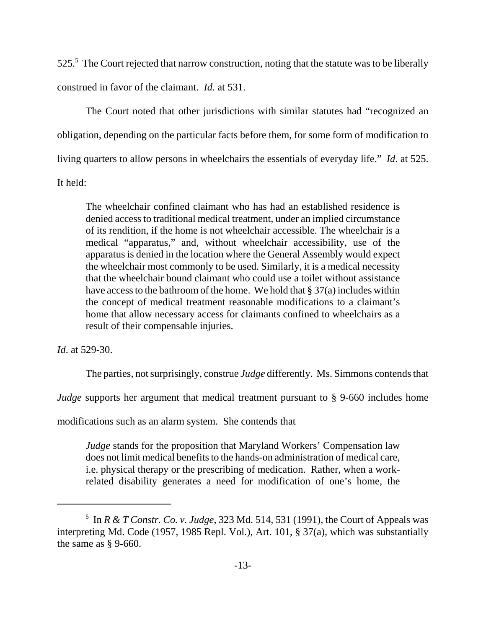525.<sup>5</sup> The Court rejected that narrow construction, noting that the statute was to be liberally construed in favor of the claimant. *Id.* at 531.

The Court noted that other jurisdictions with similar statutes had "recognized an obligation, depending on the particular facts before them, for some form of modification to living quarters to allow persons in wheelchairs the essentials of everyday life." *Id*. at 525. It held:

The wheelchair confined claimant who has had an established residence is denied access to traditional medical treatment, under an implied circumstance of its rendition, if the home is not wheelchair accessible. The wheelchair is a medical "apparatus," and, without wheelchair accessibility, use of the apparatus is denied in the location where the General Assembly would expect the wheelchair most commonly to be used. Similarly, it is a medical necessity that the wheelchair bound claimant who could use a toilet without assistance have access to the bathroom of the home. We hold that § 37(a) includes within the concept of medical treatment reasonable modifications to a claimant's home that allow necessary access for claimants confined to wheelchairs as a result of their compensable injuries.

*Id*. at 529-30.

The parties, not surprisingly, construe *Judge* differently. Ms. Simmons contends that

*Judge* supports her argument that medical treatment pursuant to § 9-660 includes home

modifications such as an alarm system. She contends that

*Judge* stands for the proposition that Maryland Workers' Compensation law does not limit medical benefits to the hands-on administration of medical care, i.e. physical therapy or the prescribing of medication. Rather, when a workrelated disability generates a need for modification of one's home, the

 $<sup>5</sup>$  In *R & T Constr. Co. v. Judge*, 323 Md. 514, 531 (1991), the Court of Appeals was</sup> interpreting Md. Code (1957, 1985 Repl. Vol.), Art. 101, § 37(a), which was substantially the same as  $\S$  9-660.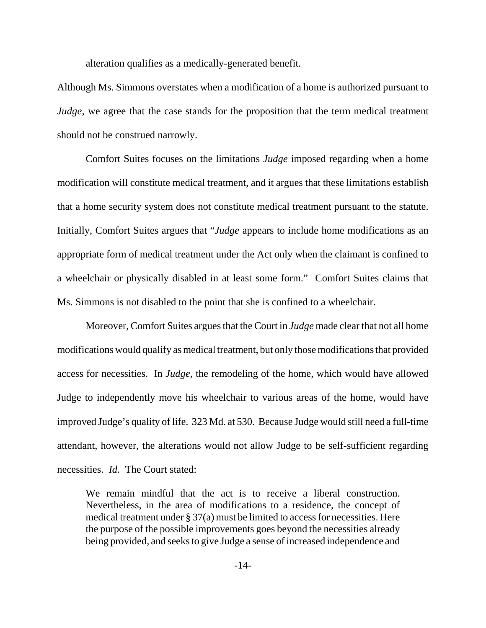alteration qualifies as a medically-generated benefit.

Although Ms. Simmons overstates when a modification of a home is authorized pursuant to *Judge*, we agree that the case stands for the proposition that the term medical treatment should not be construed narrowly.

Comfort Suites focuses on the limitations *Judge* imposed regarding when a home modification will constitute medical treatment, and it argues that these limitations establish that a home security system does not constitute medical treatment pursuant to the statute. Initially, Comfort Suites argues that "*Judge* appears to include home modifications as an appropriate form of medical treatment under the Act only when the claimant is confined to a wheelchair or physically disabled in at least some form." Comfort Suites claims that Ms. Simmons is not disabled to the point that she is confined to a wheelchair.

Moreover, Comfort Suites argues that the Court in *Judge* made clear that not all home modifications would qualify as medical treatment, but only those modifications that provided access for necessities. In *Judge*, the remodeling of the home, which would have allowed Judge to independently move his wheelchair to various areas of the home, would have improved Judge's quality of life. 323 Md. at 530. Because Judge would still need a full-time attendant, however, the alterations would not allow Judge to be self-sufficient regarding necessities. *Id.* The Court stated:

We remain mindful that the act is to receive a liberal construction. Nevertheless, in the area of modifications to a residence, the concept of medical treatment under § 37(a) must be limited to access for necessities. Here the purpose of the possible improvements goes beyond the necessities already being provided, and seeks to give Judge a sense of increased independence and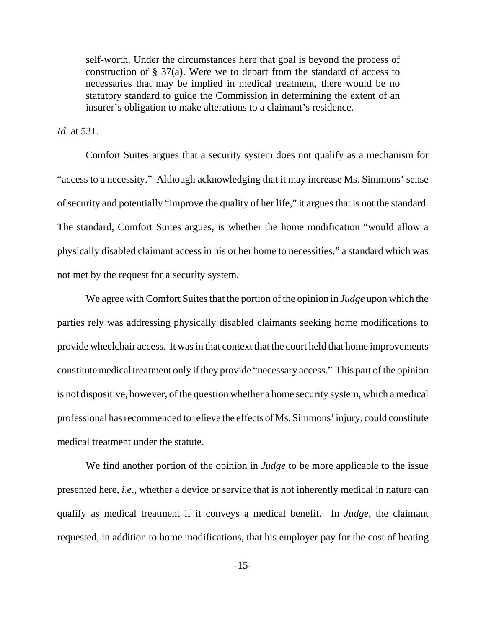self-worth. Under the circumstances here that goal is beyond the process of construction of  $\S 37(a)$ . Were we to depart from the standard of access to necessaries that may be implied in medical treatment, there would be no statutory standard to guide the Commission in determining the extent of an insurer's obligation to make alterations to a claimant's residence.

*Id*. at 531.

Comfort Suites argues that a security system does not qualify as a mechanism for "access to a necessity." Although acknowledging that it may increase Ms. Simmons' sense of security and potentially "improve the quality of her life," it argues that is not the standard. The standard, Comfort Suites argues, is whether the home modification "would allow a physically disabled claimant access in his or her home to necessities," a standard which was not met by the request for a security system.

We agree with Comfort Suites that the portion of the opinion in *Judge* upon which the parties rely was addressing physically disabled claimants seeking home modifications to provide wheelchair access. It was in that context that the court held that home improvements constitute medical treatment only if they provide "necessary access." This part of the opinion is not dispositive, however, of the question whether a home security system, which a medical professional has recommended to relieve the effects of Ms. Simmons' injury, could constitute medical treatment under the statute.

We find another portion of the opinion in *Judge* to be more applicable to the issue presented here, *i.e*., whether a device or service that is not inherently medical in nature can qualify as medical treatment if it conveys a medical benefit. In *Judge*, the claimant requested, in addition to home modifications, that his employer pay for the cost of heating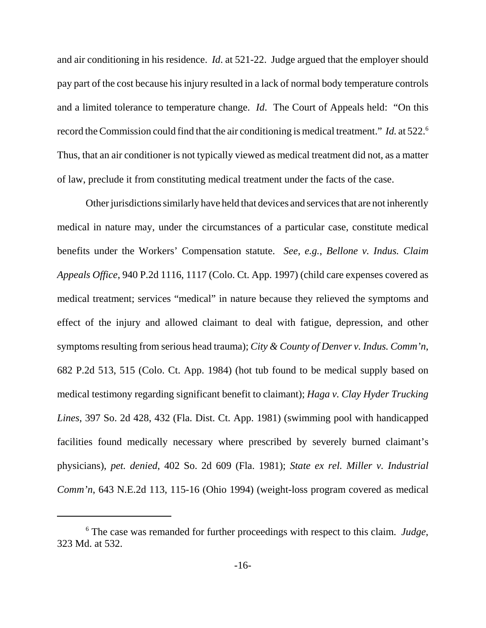and air conditioning in his residence. *Id*. at 521-22. Judge argued that the employer should pay part of the cost because his injury resulted in a lack of normal body temperature controls and a limited tolerance to temperature change. *Id*. The Court of Appeals held: "On this record the Commission could find that the air conditioning is medical treatment." *Id.* at 522.6 Thus, that an air conditioner is not typically viewed as medical treatment did not, as a matter of law, preclude it from constituting medical treatment under the facts of the case.

Other jurisdictions similarly have held that devices and services that are not inherently medical in nature may, under the circumstances of a particular case, constitute medical benefits under the Workers' Compensation statute. *See, e.g.*, *Bellone v. Indus. Claim Appeals Office*, 940 P.2d 1116, 1117 (Colo. Ct. App. 1997) (child care expenses covered as medical treatment; services "medical" in nature because they relieved the symptoms and effect of the injury and allowed claimant to deal with fatigue, depression, and other symptoms resulting from serious head trauma); *City & County of Denver v. Indus. Comm'n*, 682 P.2d 513, 515 (Colo. Ct. App. 1984) (hot tub found to be medical supply based on medical testimony regarding significant benefit to claimant); *Haga v. Clay Hyder Trucking Lines*, 397 So. 2d 428, 432 (Fla. Dist. Ct. App. 1981) (swimming pool with handicapped facilities found medically necessary where prescribed by severely burned claimant's physicians), *pet. denied*, 402 So. 2d 609 (Fla. 1981); *State ex rel. Miller v. Industrial Comm'n*, 643 N.E.2d 113, 115-16 (Ohio 1994) (weight-loss program covered as medical

<sup>6</sup> The case was remanded for further proceedings with respect to this claim. *Judge*, 323 Md. at 532.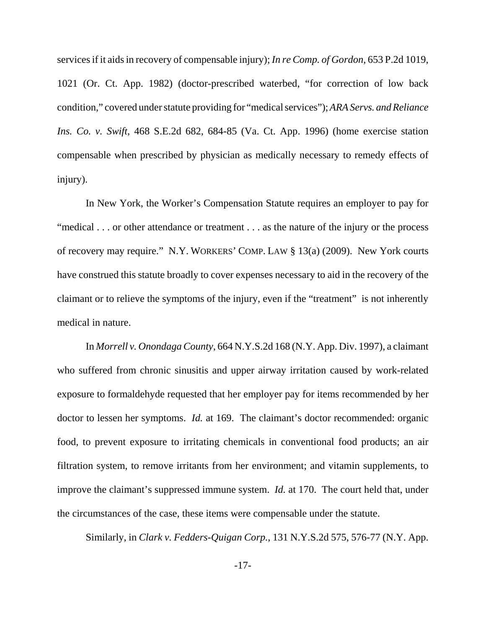services if it aids in recovery of compensable injury); *In re Comp. of Gordon*, 653 P.2d 1019, 1021 (Or. Ct. App. 1982) (doctor-prescribed waterbed, "for correction of low back condition," covered under statute providing for "medical services"); *ARA Servs. and Reliance Ins. Co. v. Swift*, 468 S.E.2d 682, 684-85 (Va. Ct. App. 1996) (home exercise station compensable when prescribed by physician as medically necessary to remedy effects of injury).

In New York, the Worker's Compensation Statute requires an employer to pay for "medical . . . or other attendance or treatment . . . as the nature of the injury or the process of recovery may require." N.Y. WORKERS' COMP. LAW § 13(a) (2009). New York courts have construed this statute broadly to cover expenses necessary to aid in the recovery of the claimant or to relieve the symptoms of the injury, even if the "treatment" is not inherently medical in nature.

In *Morrell v. Onondaga County*, 664 N.Y.S.2d 168 (N.Y. App. Div. 1997), a claimant who suffered from chronic sinusitis and upper airway irritation caused by work-related exposure to formaldehyde requested that her employer pay for items recommended by her doctor to lessen her symptoms. *Id.* at 169. The claimant's doctor recommended: organic food, to prevent exposure to irritating chemicals in conventional food products; an air filtration system, to remove irritants from her environment; and vitamin supplements, to improve the claimant's suppressed immune system. *Id.* at 170. The court held that, under the circumstances of the case, these items were compensable under the statute.

Similarly, in *Clark v. Fedders-Quigan Corp.*, 131 N.Y.S.2d 575, 576-77 (N.Y. App.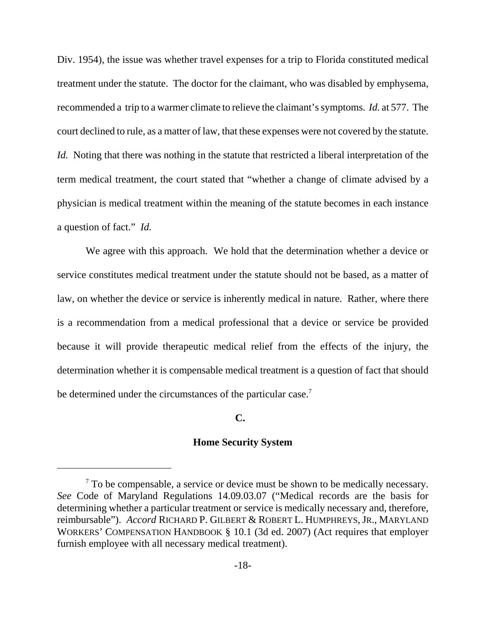Div. 1954), the issue was whether travel expenses for a trip to Florida constituted medical treatment under the statute. The doctor for the claimant, who was disabled by emphysema, recommended a trip to a warmer climate to relieve the claimant's symptoms. *Id.* at 577. The court declined to rule, as a matter of law, that these expenses were not covered by the statute. *Id.* Noting that there was nothing in the statute that restricted a liberal interpretation of the term medical treatment, the court stated that "whether a change of climate advised by a physician is medical treatment within the meaning of the statute becomes in each instance a question of fact." *Id.*

We agree with this approach. We hold that the determination whether a device or service constitutes medical treatment under the statute should not be based, as a matter of law, on whether the device or service is inherently medical in nature. Rather, where there is a recommendation from a medical professional that a device or service be provided because it will provide therapeutic medical relief from the effects of the injury, the determination whether it is compensable medical treatment is a question of fact that should be determined under the circumstances of the particular case.<sup>7</sup>

# **C.**

## **Home Security System**

 $7$  To be compensable, a service or device must be shown to be medically necessary. *See* Code of Maryland Regulations 14.09.03.07 ("Medical records are the basis for determining whether a particular treatment or service is medically necessary and, therefore, reimbursable"). *Accord* RICHARD P. GILBERT & ROBERT L. HUMPHREYS, JR., MARYLAND WORKERS' COMPENSATION HANDBOOK § 10.1 (3d ed. 2007) (Act requires that employer furnish employee with all necessary medical treatment).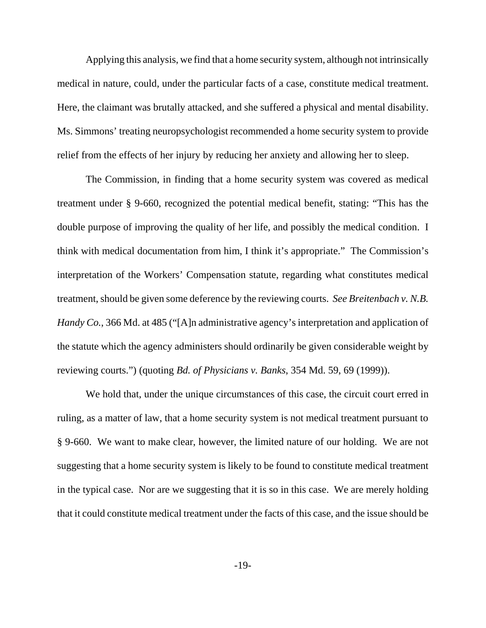Applying this analysis, we find that a home security system, although not intrinsically medical in nature, could, under the particular facts of a case, constitute medical treatment. Here, the claimant was brutally attacked, and she suffered a physical and mental disability. Ms. Simmons' treating neuropsychologist recommended a home security system to provide relief from the effects of her injury by reducing her anxiety and allowing her to sleep.

The Commission, in finding that a home security system was covered as medical treatment under § 9-660, recognized the potential medical benefit, stating: "This has the double purpose of improving the quality of her life, and possibly the medical condition. I think with medical documentation from him, I think it's appropriate." The Commission's interpretation of the Workers' Compensation statute, regarding what constitutes medical treatment, should be given some deference by the reviewing courts. *See Breitenbach v. N.B. Handy Co.*, 366 Md. at 485 ("[A]n administrative agency's interpretation and application of the statute which the agency administers should ordinarily be given considerable weight by reviewing courts.") (quoting *Bd. of Physicians v. Banks*, 354 Md. 59, 69 (1999)).

We hold that, under the unique circumstances of this case, the circuit court erred in ruling, as a matter of law, that a home security system is not medical treatment pursuant to § 9-660. We want to make clear, however, the limited nature of our holding. We are not suggesting that a home security system is likely to be found to constitute medical treatment in the typical case. Nor are we suggesting that it is so in this case. We are merely holding that it could constitute medical treatment under the facts of this case, and the issue should be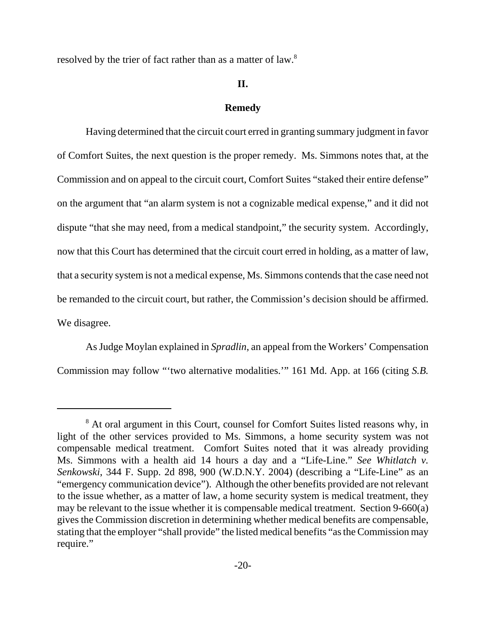resolved by the trier of fact rather than as a matter of law.<sup>8</sup>

### **II.**

#### **Remedy**

Having determined that the circuit court erred in granting summary judgment in favor of Comfort Suites, the next question is the proper remedy. Ms. Simmons notes that, at the Commission and on appeal to the circuit court, Comfort Suites "staked their entire defense" on the argument that "an alarm system is not a cognizable medical expense," and it did not dispute "that she may need, from a medical standpoint," the security system. Accordingly, now that this Court has determined that the circuit court erred in holding, as a matter of law, that a security system is not a medical expense, Ms. Simmons contends that the case need not be remanded to the circuit court, but rather, the Commission's decision should be affirmed. We disagree.

As Judge Moylan explained in *Spradlin*, an appeal from the Workers' Compensation Commission may follow "'two alternative modalities.'" 161 Md. App. at 166 (citing *S.B.*

<sup>&</sup>lt;sup>8</sup> At oral argument in this Court, counsel for Comfort Suites listed reasons why, in light of the other services provided to Ms. Simmons, a home security system was not compensable medical treatment. Comfort Suites noted that it was already providing Ms. Simmons with a health aid 14 hours a day and a "Life-Line." *See Whitlatch v. Senkowski*, 344 F. Supp. 2d 898, 900 (W.D.N.Y. 2004) (describing a "Life-Line" as an "emergency communication device"). Although the other benefits provided are not relevant to the issue whether, as a matter of law, a home security system is medical treatment, they may be relevant to the issue whether it is compensable medical treatment. Section 9-660(a) gives the Commission discretion in determining whether medical benefits are compensable, stating that the employer "shall provide" the listed medical benefits "as the Commission may require."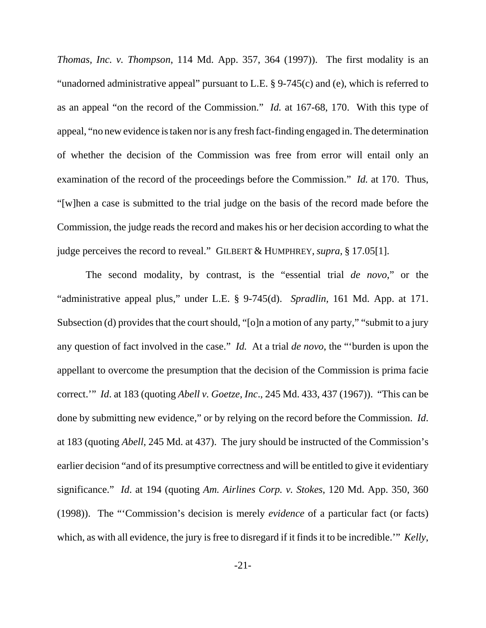*Thomas, Inc. v. Thompson*, 114 Md. App. 357, 364 (1997)). The first modality is an "unadorned administrative appeal" pursuant to L.E. § 9-745(c) and (e), which is referred to as an appeal "on the record of the Commission." *Id.* at 167-68, 170. With this type of appeal, "no new evidence is taken nor is any fresh fact-finding engaged in. The determination of whether the decision of the Commission was free from error will entail only an examination of the record of the proceedings before the Commission." *Id.* at 170. Thus, "[w]hen a case is submitted to the trial judge on the basis of the record made before the Commission, the judge reads the record and makes his or her decision according to what the judge perceives the record to reveal." GILBERT & HUMPHREY, *supra*, § 17.05[1].

The second modality, by contrast, is the "essential trial *de novo*," or the "administrative appeal plus," under L.E. § 9-745(d). *Spradlin,* 161 Md. App. at 171. Subsection (d) provides that the court should, "[o]n a motion of any party," "submit to a jury any question of fact involved in the case." *Id.* At a trial *de novo*, the "'burden is upon the appellant to overcome the presumption that the decision of the Commission is prima facie correct.'" *Id*. at 183 (quoting *Abell v. Goetze, Inc*., 245 Md. 433, 437 (1967)). "This can be done by submitting new evidence," or by relying on the record before the Commission. *Id*. at 183 (quoting *Abell*, 245 Md. at 437). The jury should be instructed of the Commission's earlier decision "and of its presumptive correctness and will be entitled to give it evidentiary significance." *Id*. at 194 (quoting *Am. Airlines Corp. v. Stokes*, 120 Md. App. 350, 360 (1998)). The "'Commission's decision is merely *evidence* of a particular fact (or facts) which, as with all evidence, the jury is free to disregard if it finds it to be incredible.'" *Kelly*,